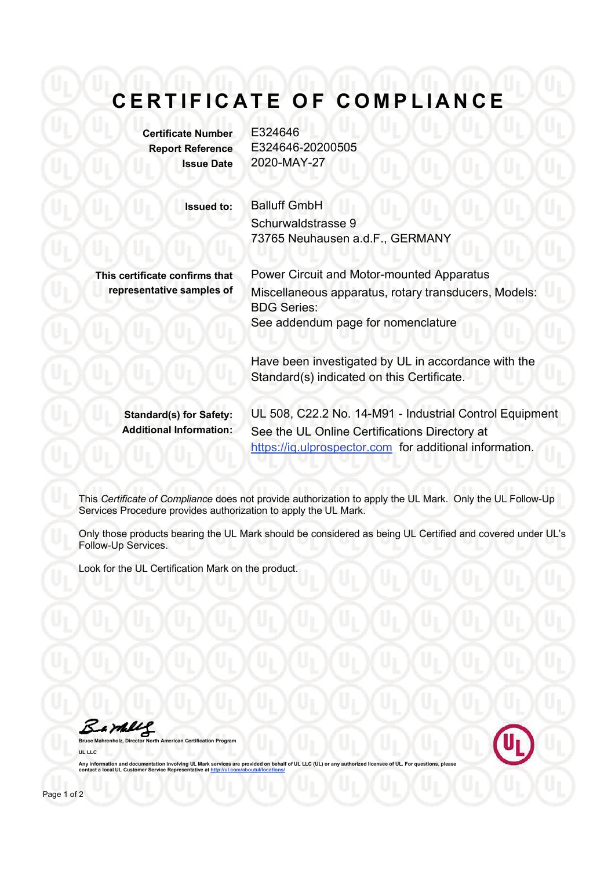## **CERTIFICATE OF COMPLIANCE**

**Certificate Number** E324646 **Report Reference** E324646-20200505 **Issue Date** 2020-MAY-27

**Issued to:** Balluff GmbH Schurwaldstrasse 9 73765 Neuhausen a.d.F., GERMANY

**This certificate confirms that representative samples of**

Power Circuit and Motor-mounted Apparatus Miscellaneous apparatus, rotary transducers, Models: BDG Series: See addendum page for nomenclature

Have been investigated by UL in accordance with the Standard(s) indicated on this Certificate.

**Standard(s) for Safety:** UL 508, C22.2 No. 14-M91 - Industrial Control Equipment **Additional Information:** See the UL Online Certifications Directory at https://iq.ulprospector.com for additional information.

This *Certificate of Compliance* does not provide authorization to apply the UL Mark. Only the UL Follow-Up Services Procedure provides authorization to apply the UL Mark.

Only those products bearing the UL Mark should be considered as being UL Certified and covered under UL's Follow-Up Services.

Look for the UL Certification Mark on the product.

**Bruce Mahrenholz, Director North American Certification Program**

Bamblel

**UL LLC**

Any information and documentation involving UL Mark services are provided on behalf of UL LLC (UL) or any authorized and contact a local UL Customer Service Representative at http://ul.com